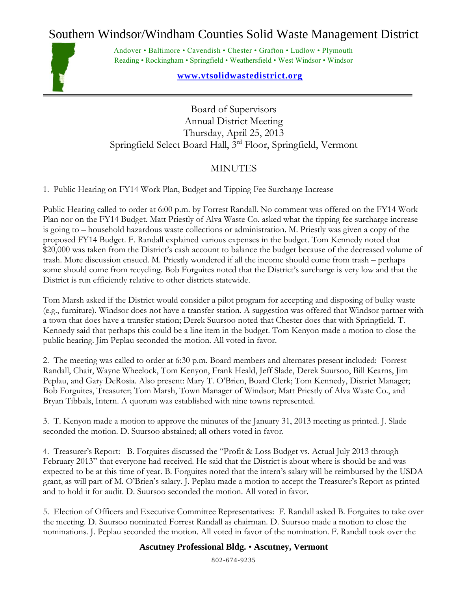## Southern Windsor/Windham Counties Solid Waste Management District



Andover • Baltimore • Cavendish • Chester • Grafton • Ludlow • Plymouth Reading • Rockingham • Springfield • Weathersfield • West Windsor • Windsor

## **www.vtsolidwastedistrict.org**

Board of Supervisors Annual District Meeting Thursday, April 25, 2013 Springfield Select Board Hall, 3rd Floor, Springfield, Vermont

## **MINUTES**

1. Public Hearing on FY14 Work Plan, Budget and Tipping Fee Surcharge Increase

Public Hearing called to order at 6:00 p.m. by Forrest Randall. No comment was offered on the FY14 Work Plan nor on the FY14 Budget. Matt Priestly of Alva Waste Co. asked what the tipping fee surcharge increase is going to – household hazardous waste collections or administration. M. Priestly was given a copy of the proposed FY14 Budget. F. Randall explained various expenses in the budget. Tom Kennedy noted that \$20,000 was taken from the District's cash account to balance the budget because of the decreased volume of trash. More discussion ensued. M. Priestly wondered if all the income should come from trash – perhaps some should come from recycling. Bob Forguites noted that the District's surcharge is very low and that the District is run efficiently relative to other districts statewide.

Tom Marsh asked if the District would consider a pilot program for accepting and disposing of bulky waste (e.g., furniture). Windsor does not have a transfer station. A suggestion was offered that Windsor partner with a town that does have a transfer station; Derek Suursoo noted that Chester does that with Springfield. T. Kennedy said that perhaps this could be a line item in the budget. Tom Kenyon made a motion to close the public hearing. Jim Peplau seconded the motion. All voted in favor.

2. The meeting was called to order at 6:30 p.m. Board members and alternates present included: Forrest Randall, Chair, Wayne Wheelock, Tom Kenyon, Frank Heald, Jeff Slade, Derek Suursoo, Bill Kearns, Jim Peplau, and Gary DeRosia. Also present: Mary T. O'Brien, Board Clerk; Tom Kennedy, District Manager; Bob Forguites, Treasurer; Tom Marsh, Town Manager of Windsor; Matt Priestly of Alva Waste Co., and Bryan Tibbals, Intern. A quorum was established with nine towns represented.

3. T. Kenyon made a motion to approve the minutes of the January 31, 2013 meeting as printed. J. Slade seconded the motion. D. Suursoo abstained; all others voted in favor.

4. Treasurer's Report: B. Forguites discussed the "Profit & Loss Budget vs. Actual July 2013 through February 2013" that everyone had received. He said that the District is about where is should be and was expected to be at this time of year. B. Forguites noted that the intern's salary will be reimbursed by the USDA grant, as will part of M. O'Brien's salary. J. Peplau made a motion to accept the Treasurer's Report as printed and to hold it for audit. D. Suursoo seconded the motion. All voted in favor.

5. Election of Officers and Executive Committee Representatives: F. Randall asked B. Forguites to take over the meeting. D. Suursoo nominated Forrest Randall as chairman. D. Suursoo made a motion to close the nominations. J. Peplau seconded the motion. All voted in favor of the nomination. F. Randall took over the

## **Ascutney Professional Bldg.** • **Ascutney, Vermont**

802-674-9235